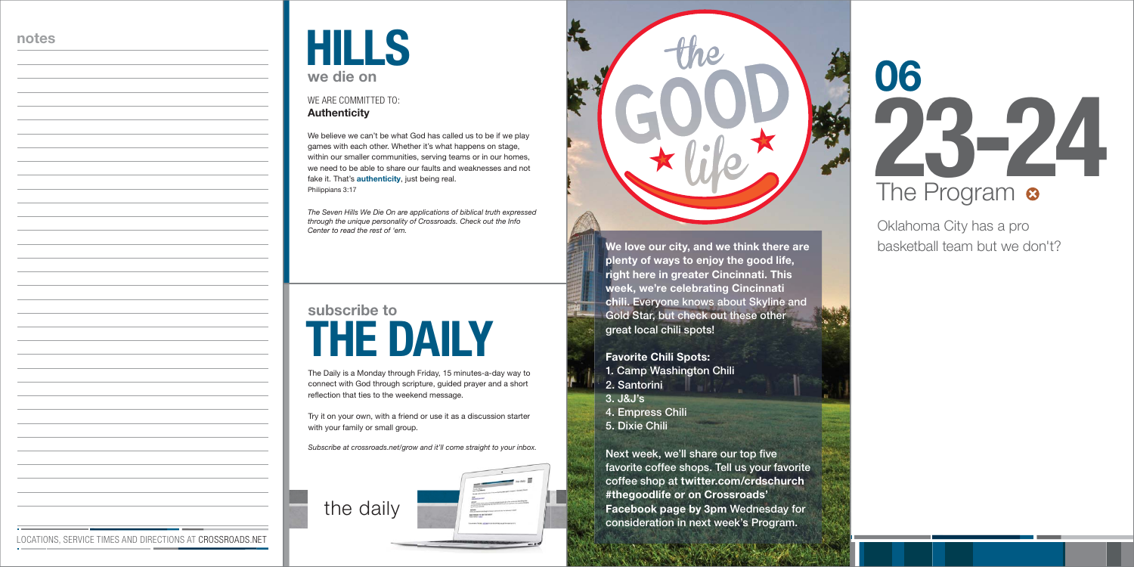The Daily is a Monday through Friday, 15 minutes-a-day way to connect with God through scripture, guided prayer and a short reflection that ties to the weekend message.

### **THE DAILYsubscribe to**

Try it on your own, with a friend or use it as a discussion starter with your family or small group.

*Subscribe at crossroads.net/grow and it'll come straight to your inbox.* 



# **23-24 06** The Program <sup>o</sup>

We believe we can't be what God has called us to be if we play games with each other. Whether it's what happens on stage, within our smaller communities, serving teams or in our homes, we need to be able to share our faults and weaknesses and not fake it. That's **authenticity**, just being real. Philippians 3:17

#### **Authenticity** WE ARE COMMITTED TO:

| HII       |  |  |
|-----------|--|--|
| we die on |  |  |

*The Seven Hills We Die On are applications of biblical truth expressed through the unique personality of Crossroads. Check out the Info Center to read the rest of 'em.*

Oklahoma City has a pro basketball team but we don't?

#### **notes**

LOCATIONS, SERVICE TIMES AND DIRECTIONS AT CROSSROADS.NET



#### **Favorite Chili Spots:**

- **1. Camp Washington Chili**
- **2. Santorini**
- **3. J&J's**
- **4. Empress Chili**
- **5. Dixie Chili**

**Next week, we'll share our top five favorite coffee shops. Tell us your favorite coffee shop at twitter.com/crdschurch #thegoodlife or on Crossroads' Facebook page by 3pm Wednesday for consideration in next week's Program.**